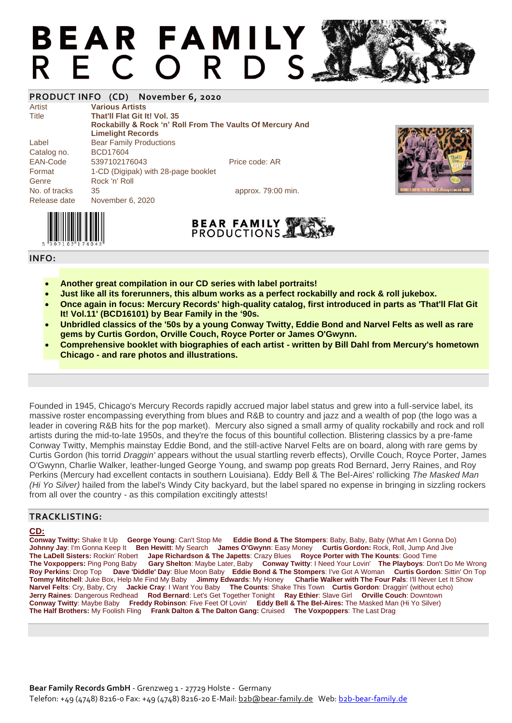# **BEAR FAMILY** R E C O R D S

### **PRODUCT INFO (CD) November 6, 2020**

Artist **Various Artists** Title **That'll Flat Git It! Vol. 35 Rockabilly & Rock 'n' Roll From The Vaults Of Mercury And Limelight Records** Label Bear Family Productions Catalog no. BCD17604 EAN-Code 5397102176043 Price code: AR Format 1-CD (Digipak) with 28-page booklet Genre Rock 'n' Roll No. of tracks 35 35 approx. 79:00 min.



Release date November 6, 2020



#### **INFO:**

- **Another great compilation in our CD series with label portraits!**
- **Just like all its forerunners, this album works as a perfect rockabilly and rock & roll jukebox.**
- **Once again in focus: Mercury Records' high-quality catalog, first introduced in parts as 'That'll Flat Git It! Vol.11' (BCD16101) by Bear Family in the '90s.**
- **Unbridled classics of the '50s by a young Conway Twitty, Eddie Bond and Narvel Felts as well as rare gems by Curtis Gordon, Orville Couch, Royce Porter or James O'Gwynn.**
- **Comprehensive booklet with biographies of each artist - written by Bill Dahl from Mercury's hometown Chicago - and rare photos and illustrations.**

Founded in 1945, Chicago's Mercury Records rapidly accrued major label status and grew into a full-service label, its massive roster encompassing everything from blues and R&B to country and jazz and a wealth of pop (the logo was a leader in covering R&B hits for the pop market). Mercury also signed a small army of quality rockabilly and rock and roll artists during the mid-to-late 1950s, and they're the focus of this bountiful collection. Blistering classics by a pre-fame Conway Twitty, Memphis mainstay Eddie Bond, and the still-active Narvel Felts are on board, along with rare gems by Curtis Gordon (his torrid *Draggin'* appears without the usual startling reverb effects), Orville Couch, Royce Porter, James O'Gwynn, Charlie Walker, leather-lunged George Young, and swamp pop greats Rod Bernard, Jerry Raines, and Roy Perkins (Mercury had excellent contacts in southern Louisiana). Eddy Bell & The Bel-Aires' rollicking *The Masked Man (Hi Yo Silver)* hailed from the label's Windy City backyard, but the label spared no expense in bringing in sizzling rockers from all over the country - as this compilation excitingly attests!

### **TRACKLISTING:**

### **CD:**

**Conway Twitty:** Shake It Up **George Young**: Can't Stop Me **Eddie Bond & The Stompers**: Baby, Baby, Baby (What Am I Gonna Do) **Johnny Jay**: I'm Gonna Keep It **Ben Hewitt**: My Search **James O'Gwynn**: Easy Money **Curtis Gordon:** Rock, Roll, Jump And Jive **The LaDell Sisters:** Rockin' Robert **Jape Richardson & The Japetts**: Crazy Blues **Royce Porter with The Kounts**: Good Time **The Voxpoppers:** Ping Pong Baby **Gary Shelton**: Maybe Later, Baby **Conway Twitty**: I Need Your Lovin' **The Playboys**: Don't Do Me Wrong **Roy Perkins**: Drop Top **Dave 'Diddle' Day**: Blue Moon Baby **Eddie Bond & The Stompers**: I've Got A Woman **Curtis Gordon**: Sittin' On Top **Tommy Mitchell**: Juke Box, Help Me Find My Baby **Jimmy Edwards**: My Honey **Charlie Walker with The Four Pals**: I'll Never Let It Show **The Counts: Shake This Town Curtis Gordon: Draggin' (without echo) Jerry Raines**: Dangerous Redhead **Rod Bernard**: Let's Get Together Tonight **Ray Ethier**: Slave Girl **Orville Couch**: Downtown **Conway Twitty**: Maybe Baby **Freddy Robinson**: Five Feet Of Lovin' **Eddy Bell & The Bel-Aires:** The Masked Man (Hi Yo Silver) **The Half Brothers:** My Foolish Fling **Frank Dalton & The Dalton Gang:** Cruised **The Voxpoppers**: The Last Drag